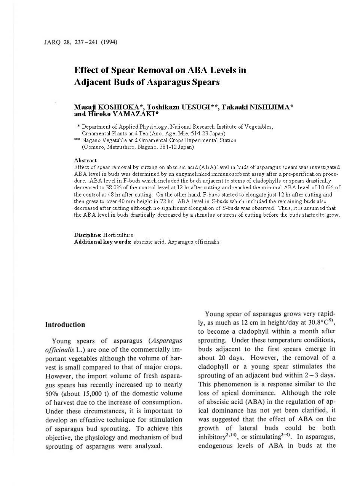# **Effect of Spear Removal on ABA Levels in Adjacent Buds of Asparagus Spears**

# **Masaji KOSIIlOKA \*, Toshikam UESUGI\*\*, Takaaki NISHIJIMA** \* **and Hiroko YAMAZAKI\***

'"Department of Applied Physiology, National Research Institute of Vegetables, Ornamental Plants and Tea (Ano, Age, Mie, 514-23 Japan)

\*\* Nagano Vegetable and Ornamental Crops Experimental Station (Oomuro, Matsushiro, Nagano, 381-12 Japan)

#### **Abstract**

Effect of spear removal by cutting on abscisic acid (ABA) level in buds of asparagus spears was investigated. ABA level in buds was determined by an enzymelinked immunosorbent assay after a pre-purification procedure. ABA level in F-buds which included the buds adjacent to stems of cladophylls or spears drastically decreased to 38.0% of the control level at 12 hr after cutting and reached the minimal ABA level of 10.6% of the control at 48 hr after cutting. On the other hand, F-buds started to elongate ju st 12 hr after cutting and then grew to over 40 mm height in 72 hr. ABA level in S-buds which included the remaining buds also decreased after cutting although no significant elongation of S-buds was observed. Thus, itis assumed that the ABA level in buds drastically decreased by a stimulus or stress of cutting before the buds started to grow.

**Discipline:** Horticulture **Additional keywords:** abscisic acid, Asparagus officinalis

### **Introduction**

Young spears of asparagus *(Asparagus officinalis* L.) are one of the commercially important vegetables although the volume of harvest is small compared to that of major crops. However, the import volume of fresh asparagus spears has recently increased up to nearly  $50\%$  (about 15,000 t) of the domestic volume of harvest due to the increase of consumption. Under these circumstances, it is important to develop an effective technique for stimulation of asparagus bud sprouting. To achieve this objective, the physiology and mechanism of bud sprouting of asparagus were analyzed.

Young spear of asparagus grows very rapidly, as much as 12 cm in height/day at  $30.8^{\circ}C^{9}$ , to become a cladophyll within a month after sprouting. Under these temperature conditions, buds adjacent to the first spears emerge in about 20 days. However, the removal of a cladophyll or a young spear stimulates the sprouting of an adjacent bud within  $2-3$  days. This phenomenon is a response similar to the loss of apical dominance. Although the role of abscisic acid **(ABA)** in the regulation of apical dominance has not yet been clarified, it was suggested that the effect of ABA on the growth of lateral buds could be both inhibitory<sup>2,14</sup>, or stimulating<sup>2-4)</sup>. In asparagus, endogenous levels of ABA in buds at the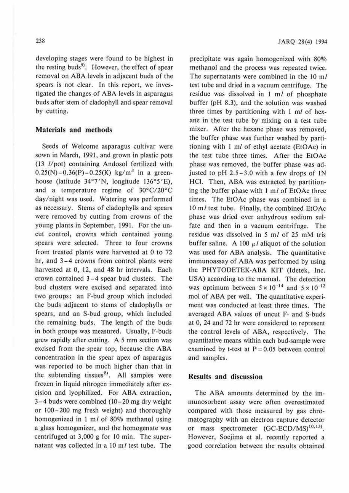developing stages were found to be highest in the resting buds<sup>9</sup>. However, the effect of spear removal on **ABA** levels in adjacent buds of the spears is not clear. In this report, we investigated the changes of ABA levels in asparagus buds after stem of cladophyll and spear removal by cutting.

# **Materials and methods**

Seeds of Welcome asparagus cullivar were sown in March, 1991, and grown in plastic pots ( 13 //pot) containing Andosol fertilized with  $0.25(N)-0.36(P)-0.25(K)$  kg/m<sup>3</sup> in a greenhouse (latitude 34°7'N, longitude 136°5'E), and a temperature regime of 30°C/20°C day/night was used. Watering was performed as necessary. Stems of cladophylls and spears were removed by cutting from crowns of the young plants in September, 1991. For the uncut control, crowns which contained young spears were selected. Three to four crowns from treated plants were harvested at O to 72 hr, and 3-4 crowns from control plants were harvested at 0, 12, and 48 hr intervals. Each crown contained 3 -4 spear bud clusters. The bud clusters were excised and separated into two groups: an F-bud group which included ihe buds adjacent to stems of cladophylls or spears, and an S-bud group, which included the remaining buds. The length of the buds in both groups was measured. Usually, F-buds grew rapidly after cutting. A 5 mm section was excised from the spear top, because the ABA concentration in the spear apex of asparagus was reported to be much higher than that in the subtending tissues<sup>8</sup>. All samples were frozen in liquid nitrogen immediately after excision and lyophilized. For ABA extraction,  $3-4$  buds were combined (10-20 mg dry weight or 100-200 mg fresh weight) and thoroughly homogenized in 1 m/ of 80% methanol using a glass homogenizer, and the homogenate was centrifuged at 3,000 g for 10 min. The supernatant was collected in a  $10 \text{ m}$  test tube. The

precipitate was again homogenized with 80% methanol and the process was repeated twice. The supernatants were combined in the 10 m/ test tube and dried in a vacuum centrifuge. The residue was dissolved in  $1 \text{ m}/$  of phosphate buffer (pH 8.3), and the solution was washed three times by partitioning with I *ml* of hexane in the test tube by mixing on a test tube mixer. After the hexane phase was removed, the buffer phase was further washed by partitioning with I *ml* of ethyl acetate (EtOAc) in the test tube three times. After the EtOAc phase was removed, the buffer phase was adjusted to pH  $2.5-3.0$  with a few drops of IN HCI. Then, ABA was extracted by partitioning the buffer phase with I *ml* of EtOAc three times. The EtOAc phase was combined in a 10 *ml* test tube. Finally, ihe combined EtOAc phase was dried over anhydrous sodium sulfate and then in a vacuum centrifuge. The residue was dissolved in 5 *ml* of 25 mM tris buffer saline. A 100  $\mu$ *l* aliquot of the solution was used for ABA analysis. The quantitative immunoassay of ABA was performed by using the PHYTODETEK-ABA KIT (ldetek, Inc. USA) according to the manual. The detection was optimum between  $5 \times 10^{-14}$  and  $5 \times 10^{-12}$ mo! of ABA per well. The quantitative experiment was conducted at least three times. The averaged ABA values of uncut F- and S-buds at 0, 24 and 72 hr were considered to represent the control levels of **ABA,** respectively. The quantitative means within each bud-sample were examined by t-test at  $P = 0.05$  between control and samples.

### **Results and discussion**

The ABA amounts determined by the immunosorbent assay were often overestimated compared with those measured by gas chromatography with an electron capture detector or mass spectrometer (GC-ECD/MS)<sup>10,13)</sup>. However, Soejima et al. recently reported a good correlation between the results obtained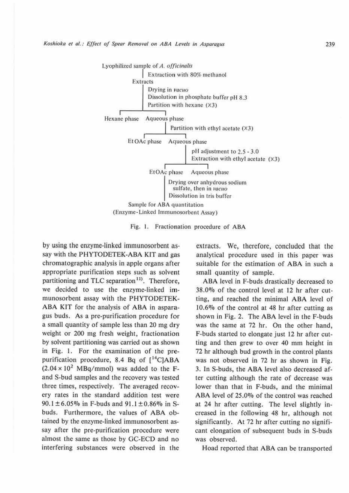

Fig. I. Fractionation procedure of ABA

by using the enzyme-linked immunosorbent assay with the PHYTODETEK-ABA KIT and gas chromatographic analysis in apple organs after appropriate purification steps such as solvent partitioning and TLC separation<sup>11)</sup>. Therefore, we decided to use the enzyme-linked immunosorbent assay with the PHYTODETEK-ABA KIT for the analysis of ABA in asparagus buds. As a pre-purification procedure for a small quantity of sample less than 20 mg dry weight or 200 mg fresh weight, fractionation by solvent partitioning was carried out as shown in Fig. 1. For the examination of the prepurification procedure, 8.4 Bq of [<sup>14</sup>C]ABA  $(2.04 \times 10^2 \text{ MBq/mmol})$  was added to the Fand S-bud samples and the recovery was tested three times, respectively. The averaged recovery rates in the standard addition test were  $90.1 \pm 6.05\%$  in F-buds and  $91.1 \pm 0.86\%$  in Sbuds. Furthermore, the values of ABA obtained by the enzyme-linked immunosorbent assay after the pre-purification procedure were almost the same as those by GC-ECD and no interfering substances were observed in the

extracts. We, therefore, concluded that the analytical procedure used in this paper was suitable for the estimation of ABA in such a small quantity of sample.

ABA level in F-buds drastically decreased to 38.0% of the control level at 12 hr after cutting, and reached the minimal ABA level of  $10.6\%$  of the control at 48 hr after cutting as shown in Fig. 2. The ABA level in the F-buds was the same at 72 hr. On the other hand, f-bucls started to elongate just 12 hr after cutting and then grew to over 40 mm height in 72 hr although bud growth in the control plants was not observed in 72 hr as shown in Fig. 3. In S-buds, the ABA level also decreased after cutting although the rate of decrease was lower than that in F-buds, and the minimal ABA level of 25.0% of the control was reached at 24 hr after cutting. The level slightly increased in the following 48 hr, although not significantly. At 72 hr after cutting no significant elongation of subsequent buds in S-buds was observed.

Hoad reported that ABA can be transported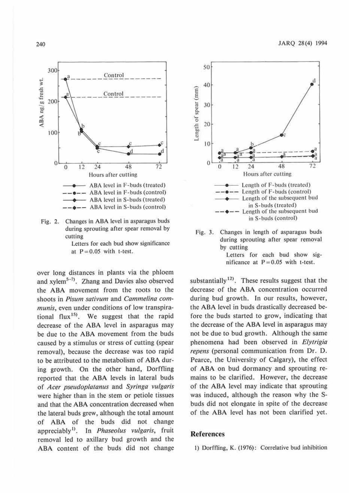

Fig. 2. Changes in ABA level in asparagus buds during sprouting after spear removal by cutting

Letters for each bud show significance at  $P = 0.05$  with t-test.

over long distances in plants via the phloem and xylem<sup>5-7)</sup>. Zhang and Davies also observed the ABA movement from the roots to the shoots in *Pisum sativum* and *Cammelina com*munis, even under conditions of low transpirational flux<sup>15</sup>. We suggest that the rapid decrease of the ABA level in asparagus may be due to the ABA movement from the buds caused by a stimulus or stress of cutting (spear removal), because the decrease was too rapid to be attributed to the metabolism of ABA during growth. On the other hand, Dorffling reported that the ABA levels in lateral buds of *Acer pseudoplatanus* and *Syringa vulgaris*  were higher than in the stem or petiole tissues and that the **ABA** concentration decreased when the lateral buds grew, although the total amount of ABA of the buds did not change appreciably <sup>1</sup> >. In *Phaseolus vulgaris,* fruit removal led to axillary bud growth and the ABA content of the buds did not change



Fig. 3. Changes in length of asparagus buds during sprouting after spear removal by cutting

Letters for each bud show significance at  $P = 0.05$  with t-test.

substantially<sup>12)</sup>. These results suggest that the decrease of the ABA concentration occurred during bud growth. In our results, however, the ABA level in buds drastically decreased before the buds started to grow, indicating that the decrease of the ABA level in asparagus may not be due to bud growth. Although the same phenomena had been observed in *Elytrigia repens* (personal communication from Dr. D. Pearce, the University of Calgary), the effect of ABA on bud dormancy and sprouting remains to be clarified. However, the decrease of the ABA level may indicate that sprouting was induced, although the reason why the Sbuds did not elongate in spite of the decrease of the ABA level has not been clarified yet.

# **References**

1) Dorffling, K. (1976): Correlative bud inhibition